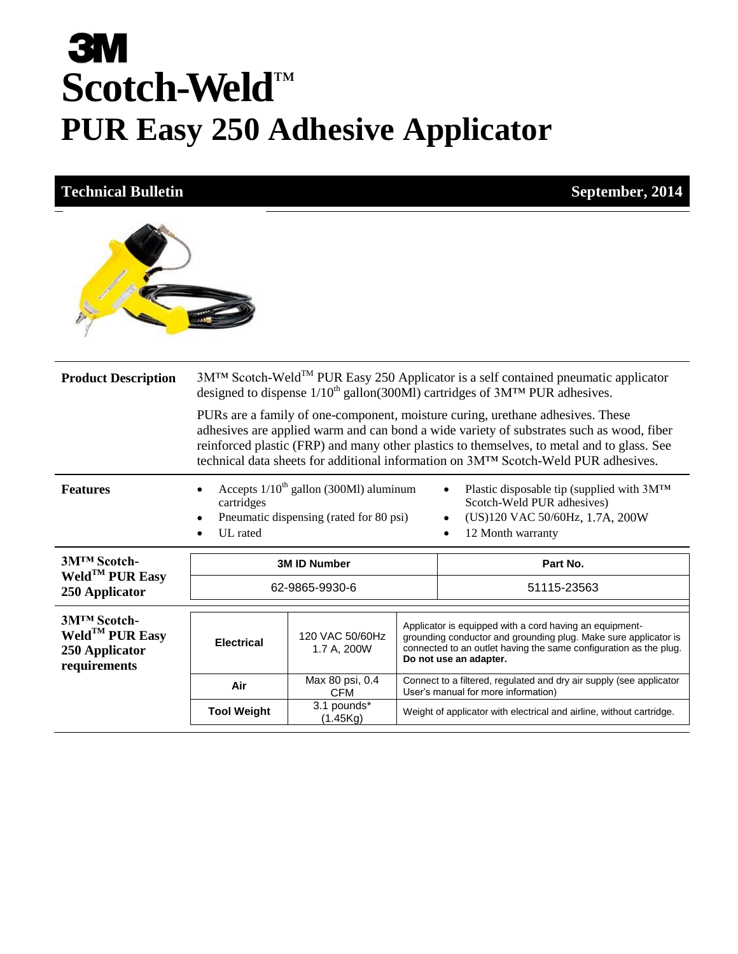# **3M Scotch-Weld** ™ **PUR Easy 250 Adhesive Applicator**

#### **Technical Bulletin September, 2014**



| <b>Product Description</b>                                               | 3M <sup>TM</sup> Scotch-Weld <sup>TM</sup> PUR Easy 250 Applicator is a self contained pneumatic applicator<br>designed to dispense $1/10^{th}$ gallon(300Ml) cartridges of $3MTM$ PUR adhesives.                                                                                                                                                                           |                                |  |                                                                                                                                                                                                                           |  |
|--------------------------------------------------------------------------|-----------------------------------------------------------------------------------------------------------------------------------------------------------------------------------------------------------------------------------------------------------------------------------------------------------------------------------------------------------------------------|--------------------------------|--|---------------------------------------------------------------------------------------------------------------------------------------------------------------------------------------------------------------------------|--|
|                                                                          | PURs are a family of one-component, moisture curing, urethane adhesives. These<br>adhesives are applied warm and can bond a wide variety of substrates such as wood, fiber<br>reinforced plastic (FRP) and many other plastics to themselves, to metal and to glass. See<br>technical data sheets for additional information on 3M <sup>TM</sup> Scotch-Weld PUR adhesives. |                                |  |                                                                                                                                                                                                                           |  |
| <b>Features</b>                                                          | Accepts $1/10th$ gallon (300Ml) aluminum<br>Plastic disposable tip (supplied with $3M^{TM}$<br>Scotch-Weld PUR adhesives)<br>cartridges<br>(US)120 VAC 50/60Hz, 1.7A, 200W<br>Pneumatic dispensing (rated for 80 psi)<br>UL rated<br>12 Month warranty<br>$\bullet$                                                                                                         |                                |  |                                                                                                                                                                                                                           |  |
|                                                                          | Part No.<br><b>3M ID Number</b>                                                                                                                                                                                                                                                                                                                                             |                                |  |                                                                                                                                                                                                                           |  |
| 3M <sup>™</sup> Scotch-                                                  |                                                                                                                                                                                                                                                                                                                                                                             |                                |  |                                                                                                                                                                                                                           |  |
| Weld <sup>TM</sup> PUR Easy<br>250 Applicator                            |                                                                                                                                                                                                                                                                                                                                                                             | 62-9865-9930-6                 |  | 51115-23563                                                                                                                                                                                                               |  |
| 3M <sup>™</sup> Scotch-<br>Weld <sup>TM</sup> PUR Easy<br>250 Applicator | <b>Electrical</b>                                                                                                                                                                                                                                                                                                                                                           | 120 VAC 50/60Hz<br>1.7 A, 200W |  | Applicator is equipped with a cord having an equipment-<br>grounding conductor and grounding plug. Make sure applicator is<br>connected to an outlet having the same configuration as the plug.<br>Do not use an adapter. |  |
| requirements                                                             | Air                                                                                                                                                                                                                                                                                                                                                                         | Max 80 psi, 0.4<br><b>CFM</b>  |  | Connect to a filtered, regulated and dry air supply (see applicator<br>User's manual for more information)                                                                                                                |  |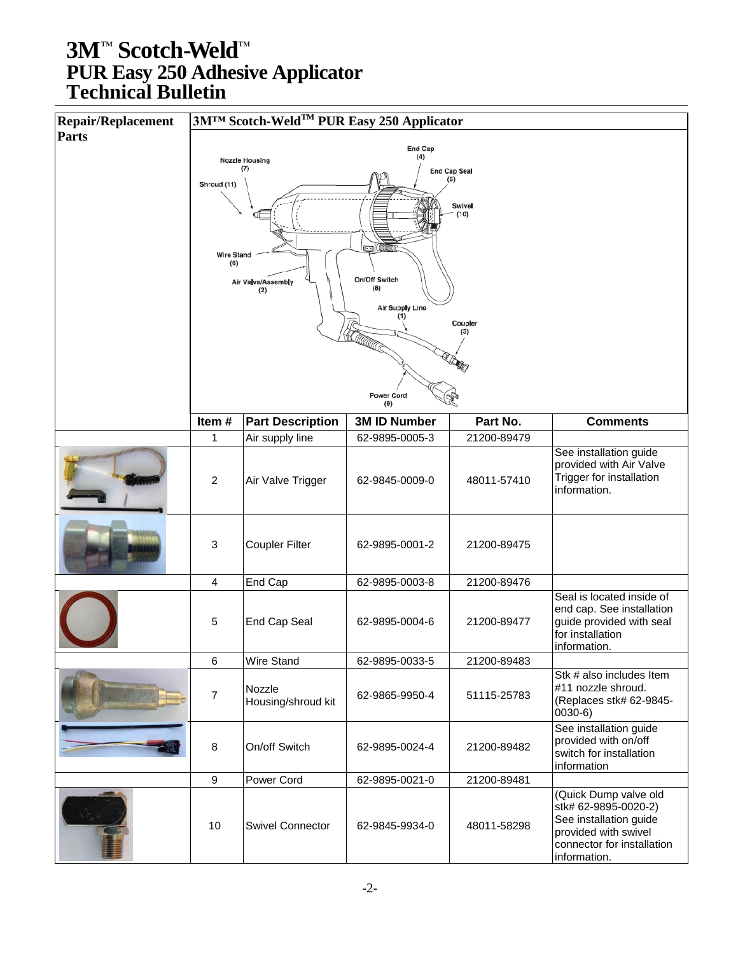| <b>Repair/Replacement</b> |                            | 3M™ Scotch-Weld <sup>™</sup> PUR Easy 250 Applicator |                        |                |                                                       |
|---------------------------|----------------------------|------------------------------------------------------|------------------------|----------------|-------------------------------------------------------|
| <b>Parts</b>              |                            |                                                      |                        |                |                                                       |
|                           |                            | <b>Nozzle Housing</b>                                | End Cap<br>(4)         |                |                                                       |
|                           | (7)<br><b>End Cap Seal</b> |                                                      |                        |                |                                                       |
|                           | Shroud (11)                |                                                      |                        |                |                                                       |
|                           |                            |                                                      |                        | Swivel<br>(10) |                                                       |
|                           |                            |                                                      |                        |                |                                                       |
|                           |                            |                                                      |                        |                |                                                       |
|                           | <b>Wire Stand</b><br>(6)   |                                                      |                        |                |                                                       |
|                           |                            |                                                      | On/Off Switch          |                |                                                       |
|                           |                            | Air Valve/Assembly<br>(2)                            | (8)                    |                |                                                       |
|                           |                            |                                                      | <b>Air Supply Line</b> |                |                                                       |
|                           |                            |                                                      | (1)                    | Coupler        |                                                       |
|                           |                            |                                                      |                        | (3)            |                                                       |
|                           |                            |                                                      |                        |                |                                                       |
|                           |                            |                                                      |                        |                |                                                       |
|                           |                            |                                                      | Power Cord             |                |                                                       |
|                           |                            |                                                      | (9)                    |                |                                                       |
|                           | Item#                      | <b>Part Description</b>                              | <b>3M ID Number</b>    | Part No.       | <b>Comments</b>                                       |
|                           | 1                          | Air supply line                                      | 62-9895-0005-3         | 21200-89479    |                                                       |
|                           |                            |                                                      |                        |                | See installation guide<br>provided with Air Valve     |
|                           | $\sqrt{2}$                 | Air Valve Trigger                                    | 62-9845-0009-0         | 48011-57410    | Trigger for installation                              |
|                           |                            |                                                      |                        |                | information.                                          |
|                           |                            |                                                      |                        |                |                                                       |
|                           |                            |                                                      |                        |                |                                                       |
|                           | $\mathbf{3}$               | <b>Coupler Filter</b>                                | 62-9895-0001-2         | 21200-89475    |                                                       |
|                           |                            |                                                      |                        |                |                                                       |
|                           | $\overline{4}$             | End Cap                                              | 62-9895-0003-8         | 21200-89476    |                                                       |
|                           |                            |                                                      |                        |                | Seal is located inside of                             |
|                           | $\overline{5}$             | End Cap Seal                                         | 62-9895-0004-6         | 21200-89477    | end cap. See installation<br>guide provided with seal |
|                           |                            |                                                      |                        |                | for installation                                      |
|                           |                            |                                                      |                        |                | information.                                          |
|                           | 6                          | Wire Stand                                           | 62-9895-0033-5         | 21200-89483    |                                                       |
|                           |                            | Nozzle                                               |                        |                | Stk # also includes Item<br>#11 nozzle shroud.        |
|                           | $\overline{7}$             | Housing/shroud kit                                   | 62-9865-9950-4         | 51115-25783    | (Replaces stk# 62-9845-                               |
|                           |                            |                                                      |                        |                | $(0030-6)$                                            |
|                           |                            |                                                      |                        |                | See installation guide                                |
|                           | 8                          | On/off Switch                                        | 62-9895-0024-4         | 21200-89482    | provided with on/off<br>switch for installation       |
|                           |                            |                                                      |                        |                | information                                           |
|                           | $9\,$                      | Power Cord                                           | 62-9895-0021-0         | 21200-89481    |                                                       |
|                           |                            |                                                      |                        |                | (Quick Dump valve old                                 |
|                           |                            |                                                      |                        |                | stk# 62-9895-0020-2)<br>See installation guide        |
|                           | 10                         | <b>Swivel Connector</b>                              | 62-9845-9934-0         | 48011-58298    | provided with swivel                                  |
|                           |                            |                                                      |                        |                | connector for installation                            |
|                           |                            |                                                      |                        |                | information.                                          |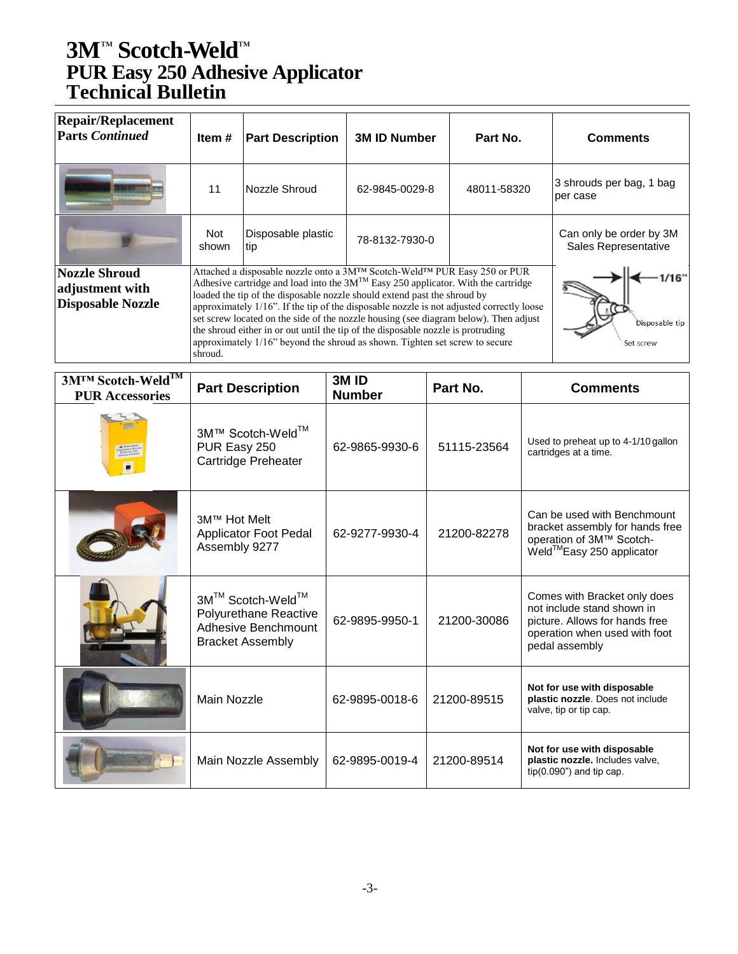| <b>Repair/Replacement</b><br><b>Parts Continued</b>                 | Item#        | <b>Part Description</b>                                                                                                                                                                                                                                                                                                                                                                                                                                                                                                                                                                               | <b>3M ID Number</b> | Part No.    | <b>Comments</b>                                 |
|---------------------------------------------------------------------|--------------|-------------------------------------------------------------------------------------------------------------------------------------------------------------------------------------------------------------------------------------------------------------------------------------------------------------------------------------------------------------------------------------------------------------------------------------------------------------------------------------------------------------------------------------------------------------------------------------------------------|---------------------|-------------|-------------------------------------------------|
|                                                                     | 11           | Nozzle Shroud                                                                                                                                                                                                                                                                                                                                                                                                                                                                                                                                                                                         | 62-9845-0029-8      | 48011-58320 | 3 shrouds per bag, 1 bag<br>per case            |
|                                                                     | Not<br>shown | Disposable plastic<br>tip                                                                                                                                                                                                                                                                                                                                                                                                                                                                                                                                                                             | 78-8132-7930-0      |             | Can only be order by 3M<br>Sales Representative |
| <b>Nozzle Shroud</b><br>adjustment with<br><b>Disposable Nozzle</b> | shroud.      | Attached a disposable nozzle onto a 3M™ Scotch-Weld™ PUR Easy 250 or PUR<br>Adhesive cartridge and load into the $3M^{TM}$ Easy 250 applicator. With the cartridge<br>loaded the tip of the disposable nozzle should extend past the shroud by<br>approximately 1/16". If the tip of the disposable nozzle is not adjusted correctly loose<br>set screw located on the side of the nozzle housing (see diagram below). Then adjust<br>the shroud either in or out until the tip of the disposable nozzle is protruding<br>approximately 1/16" beyond the shroud as shown. Tighten set screw to secure |                     |             | /16"<br>Disposable tip<br>Set screw             |

| 3M™ Scotch-Weld™<br><b>PUR Accessories</b> | <b>Part Description</b>                                                                     | 3M <sub>ID</sub><br><b>Number</b> | Part No.    | <b>Comments</b>                                                                                                                                 |
|--------------------------------------------|---------------------------------------------------------------------------------------------|-----------------------------------|-------------|-------------------------------------------------------------------------------------------------------------------------------------------------|
|                                            | 3M™ Scotch-Weld™<br>PUR Easy 250<br>Cartridge Preheater                                     | 62-9865-9930-6                    | 51115-23564 | Used to preheat up to 4-1/10 gallon<br>cartridges at a time.                                                                                    |
|                                            | 3M™ Hot Melt<br>Applicator Foot Pedal<br>Assembly 9277                                      | 62-9277-9930-4                    | 21200-82278 | Can be used with Benchmount<br>bracket assembly for hands free<br>operation of 3M™ Scotch-<br>Weld™Easy 250 applicator                          |
|                                            | 3M™ Scotch-Weld™<br>Polyurethane Reactive<br>Adhesive Benchmount<br><b>Bracket Assembly</b> | 62-9895-9950-1                    | 21200-30086 | Comes with Bracket only does<br>not include stand shown in<br>picture. Allows for hands free<br>operation when used with foot<br>pedal assembly |
|                                            | <b>Main Nozzle</b>                                                                          | 62-9895-0018-6                    | 21200-89515 | Not for use with disposable<br>plastic nozzle. Does not include<br>valve, tip or tip cap.                                                       |
|                                            | Main Nozzle Assembly                                                                        | 62-9895-0019-4                    | 21200-89514 | Not for use with disposable<br>plastic nozzle. Includes valve,<br>$tip(0.090")$ and tip cap.                                                    |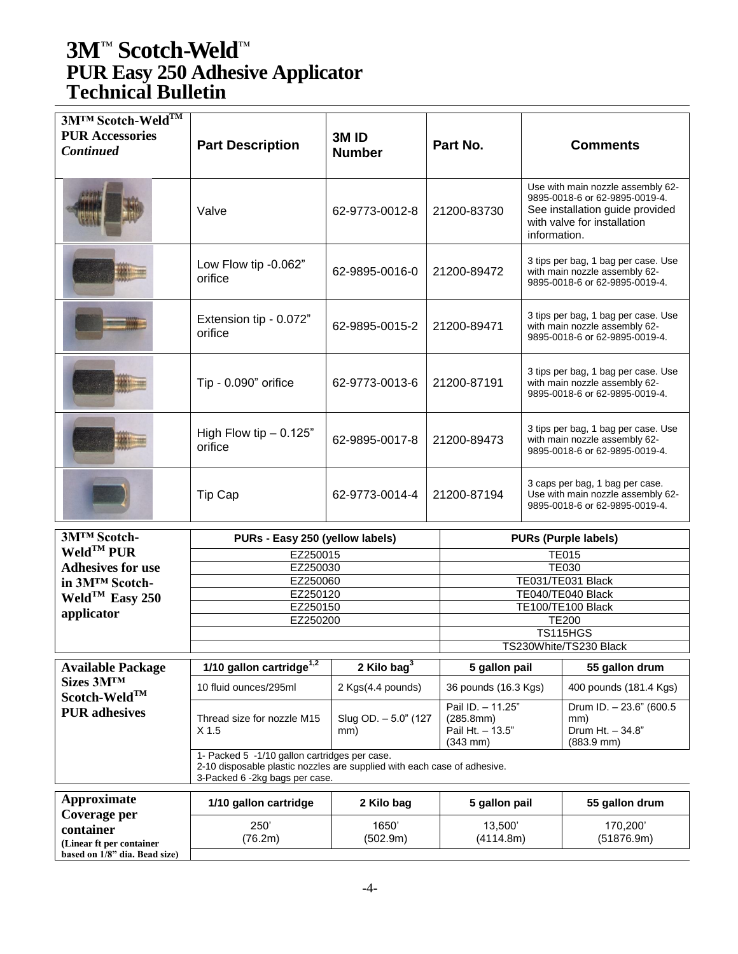| 3M™ Scotch-Weld™<br><b>PUR Accessories</b><br><b>Continued</b> | <b>Part Description</b>                                                                                                                                     | 3M <sub>ID</sub><br><b>Number</b> | Part No.                                                                   |              | <b>Comments</b>                                                                                                                       |  |
|----------------------------------------------------------------|-------------------------------------------------------------------------------------------------------------------------------------------------------------|-----------------------------------|----------------------------------------------------------------------------|--------------|---------------------------------------------------------------------------------------------------------------------------------------|--|
|                                                                | Valve                                                                                                                                                       | 62-9773-0012-8                    | 21200-83730                                                                | information. | Use with main nozzle assembly 62-<br>9895-0018-6 or 62-9895-0019-4.<br>See installation guide provided<br>with valve for installation |  |
|                                                                | Low Flow tip -0.062"<br>orifice                                                                                                                             | 62-9895-0016-0                    | 21200-89472                                                                |              | 3 tips per bag, 1 bag per case. Use<br>with main nozzle assembly 62-<br>9895-0018-6 or 62-9895-0019-4.                                |  |
|                                                                | Extension tip - 0.072"<br>orifice                                                                                                                           | 62-9895-0015-2                    | 21200-89471                                                                |              | 3 tips per bag, 1 bag per case. Use<br>with main nozzle assembly 62-<br>9895-0018-6 or 62-9895-0019-4.                                |  |
|                                                                | Tip - 0.090" orifice                                                                                                                                        | 62-9773-0013-6                    | 21200-87191                                                                |              | 3 tips per bag, 1 bag per case. Use<br>with main nozzle assembly 62-<br>9895-0018-6 or 62-9895-0019-4.                                |  |
|                                                                | High Flow tip $- 0.125$ "<br>orifice                                                                                                                        | 62-9895-0017-8                    | 21200-89473                                                                |              | 3 tips per bag, 1 bag per case. Use<br>with main nozzle assembly 62-<br>9895-0018-6 or 62-9895-0019-4.                                |  |
|                                                                | Tip Cap                                                                                                                                                     | 62-9773-0014-4                    | 21200-87194                                                                |              | 3 caps per bag, 1 bag per case.<br>Use with main nozzle assembly 62-<br>9895-0018-6 or 62-9895-0019-4.                                |  |
| 3MTM Scotch-                                                   | PURs - Easy 250 (yellow labels)                                                                                                                             |                                   |                                                                            |              | <b>PURs (Purple labels)</b>                                                                                                           |  |
| $Weld^{TM}$ PUR                                                | EZ250015                                                                                                                                                    |                                   |                                                                            |              | <b>TE015</b>                                                                                                                          |  |
| <b>Adhesives for use</b>                                       | EZ250030                                                                                                                                                    |                                   |                                                                            |              | <b>TE030</b>                                                                                                                          |  |
| in 3M™ Scotch-                                                 | EZ250060                                                                                                                                                    |                                   |                                                                            |              | TE031/TE031 Black                                                                                                                     |  |
| Weld <sup>TM</sup> Easy 250                                    | EZ250120<br>EZ250150                                                                                                                                        |                                   | TE040/TE040 Black<br>TE100/TE100 Black                                     |              |                                                                                                                                       |  |
| applicator                                                     |                                                                                                                                                             | EZ250200                          |                                                                            | <b>TE200</b> |                                                                                                                                       |  |
|                                                                |                                                                                                                                                             |                                   | <b>TS115HGS</b>                                                            |              |                                                                                                                                       |  |
|                                                                |                                                                                                                                                             |                                   |                                                                            |              | TS230White/TS230 Black                                                                                                                |  |
| <b>Available Package</b>                                       | $1/10$ gallon cartridge <sup>1,2</sup>                                                                                                                      | 2 Kilo bag $3$                    | 5 gallon pail                                                              |              | 55 gallon drum                                                                                                                        |  |
| Sizes 3MTM<br>Scotch-Weld™                                     | 10 fluid ounces/295ml                                                                                                                                       | 2 Kgs(4.4 pounds)                 | 36 pounds (16.3 Kgs)                                                       |              | 400 pounds (181.4 Kgs)                                                                                                                |  |
| <b>PUR</b> adhesives                                           | Thread size for nozzle M15<br>X <sub>1.5</sub>                                                                                                              | Slug OD. - 5.0" (127<br>mm)       | Pail ID. - 11.25"<br>(285.8mm)<br>Pail Ht. - 13.5"<br>$(343 \, \text{mm})$ |              | Drum ID. - 23.6" (600.5)<br>mm)<br>Drum Ht. - 34.8"<br>$(883.9$ mm $)$                                                                |  |
|                                                                | 1- Packed 5 -1/10 gallon cartridges per case.<br>2-10 disposable plastic nozzles are supplied with each case of adhesive.<br>3-Packed 6 -2kg bags per case. |                                   |                                                                            |              |                                                                                                                                       |  |
| <b>Approximate</b>                                             | 1/10 gallon cartridge                                                                                                                                       | 2 Kilo bag                        | 5 gallon pail                                                              |              | 55 gallon drum                                                                                                                        |  |
| Coverage per<br>container                                      | 250'                                                                                                                                                        | 1650'                             | 13,500                                                                     |              | 170,200                                                                                                                               |  |
| (Linear ft per container                                       | (76.2m)                                                                                                                                                     | (502.9m)                          | (4114.8m)                                                                  |              | (51876.9m)                                                                                                                            |  |
| based on 1/8" dia. Bead size)                                  |                                                                                                                                                             |                                   |                                                                            |              |                                                                                                                                       |  |